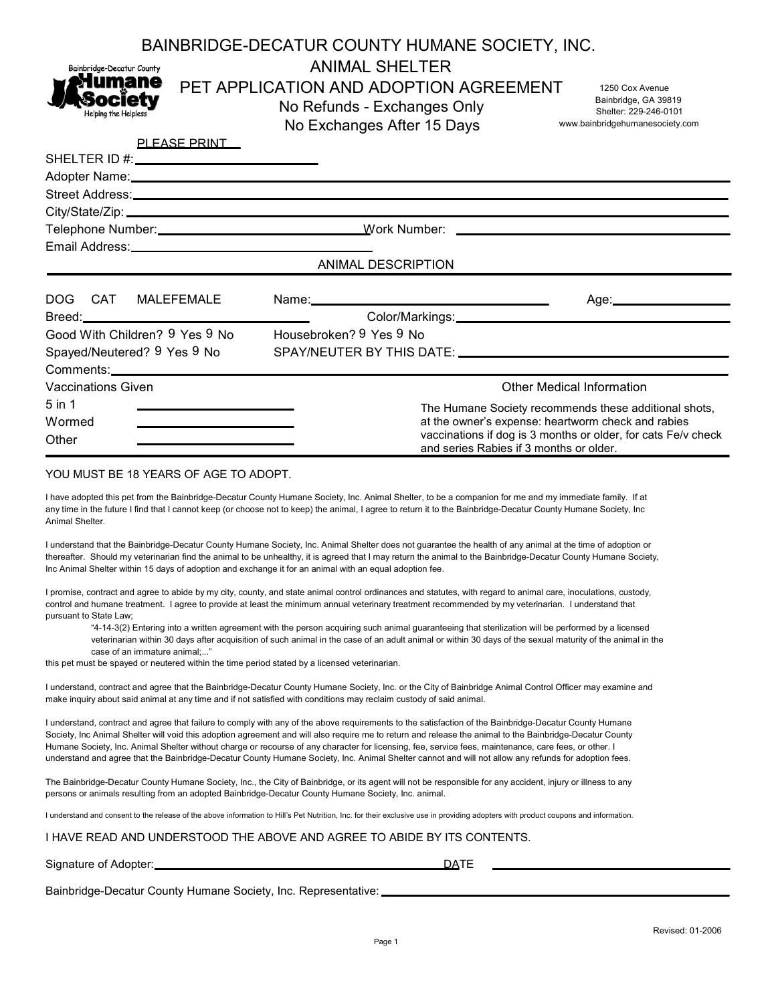BAINBRIDGE-DECATUR COUNTY HUMANE SOCIETY, INC.

ANIMAL SHELTER

PET APPLICATION AND ADOPTION AGREEMENT

No Refunds - Exchanges Only

No Exchanges After 15 Days

1250 Cox Avenue Bainbridge, GA 39819 Shelter: 229-246-0101 www.bainbridgehumanesociety.com

|--|

Bainbridge-Decatur County

lelping the Helple:

|                                                                                                                                | ANIMAL DESCRIPTION                                                                                             |
|--------------------------------------------------------------------------------------------------------------------------------|----------------------------------------------------------------------------------------------------------------|
| DOG CAT MALEFEMALE                                                                                                             | Name: 2008 2010 2020 2020 2020 2021 2021 2022 2022 2022 2022 2022 2022 2022 2022 2022 2022 2022 2022 2022 2022 |
|                                                                                                                                |                                                                                                                |
| Good With Children? 9 Yes 9 No                                                                                                 | Housebroken? 9 Yes 9 No                                                                                        |
| Spayed/Neutered? 9 Yes 9 No                                                                                                    |                                                                                                                |
|                                                                                                                                |                                                                                                                |
| <b>Vaccinations Given</b>                                                                                                      | Other Medical Information                                                                                      |
| 5 in 1                                                                                                                         | The Humane Society recommends these additional shots,                                                          |
| Wormed<br><u> Andrew Marian (1986), provincial de la provincia de la provincia de la provincia de la provincia de la provi</u> | at the owner's expense: heartworm check and rabies                                                             |
| Other                                                                                                                          | vaccinations if dog is 3 months or older, for cats Fe/v check<br>and series Rabies if 3 months or older.       |

## YOU MUST BE 18 YEARS OF AGE TO ADOPT.

I have adopted this pet from the Bainbridge-Decatur County Humane Society, Inc. Animal Shelter, to be a companion for me and my immediate family. If at any time in the future I find that I cannot keep (or choose not to keep) the animal, I agree to return it to the Bainbridge-Decatur County Humane Society, Inc Animal Shelter.

I understand that the Bainbridge-Decatur County Humane Society, Inc. Animal Shelter does not guarantee the health of any animal at the time of adoption or thereafter. Should my veterinarian find the animal to be unhealthy, it is agreed that I may return the animal to the Bainbridge-Decatur County Humane Society, Inc Animal Shelter within 15 days of adoption and exchange it for an animal with an equal adoption fee.

I promise, contract and agree to abide by my city, county, and state animal control ordinances and statutes, with regard to animal care, inoculations, custody, control and humane treatment. I agree to provide at least the minimum annual veterinary treatment recommended by my veterinarian. I understand that pursuant to State Law;

"4-14-3(2) Entering into a written agreement with the person acquiring such animal guaranteeing that sterilization will be performed by a licensed veterinarian within 30 days after acquisition of such animal in the case of an adult animal or within 30 days of the sexual maturity of the animal in the case of an immature animal;..."

this pet must be spayed or neutered within the time period stated by a licensed veterinarian.

I understand, contract and agree that the Bainbridge-Decatur County Humane Society, Inc. or the City of Bainbridge Animal Control Officer may examine and make inquiry about said animal at any time and if not satisfied with conditions may reclaim custody of said animal.

I understand, contract and agree that failure to comply with any of the above requirements to the satisfaction of the Bainbridge-Decatur County Humane Society, Inc Animal Shelter will void this adoption agreement and will also require me to return and release the animal to the Bainbridge-Decatur County Humane Society, Inc. Animal Shelter without charge or recourse of any character for licensing, fee, service fees, maintenance, care fees, or other. I understand and agree that the Bainbridge-Decatur County Humane Society, Inc. Animal Shelter cannot and will not allow any refunds for adoption fees.

The Bainbridge-Decatur County Humane Society, Inc., the City of Bainbridge, or its agent will not be responsible for any accident, injury or illness to any persons or animals resulting from an adopted Bainbridge-Decatur County Humane Society, Inc. animal.

I understand and consent to the release of the above information to Hill's Pet Nutrition, Inc. for their exclusive use in providing adopters with product coupons and information.

I HAVE READ AND UNDERSTOOD THE ABOVE AND AGREE TO ABIDE BY ITS CONTENTS.

Signature of Adopter: DATE

Bainbridge-Decatur County Humane Society, Inc. Representative: